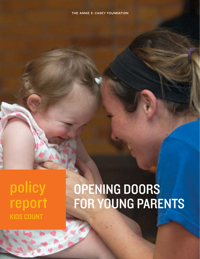# policy report **KIDS COUNT**

# **OPENING DOORS<br>FOR YOUNG PARENTS**

The Annie E. Casey Foundation Inc.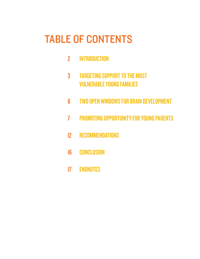# TABLE OF CONTENTS

- [INTRODUCTION](#page-3-0)
- [TARGETING SUPPORT TO THE MOST](#page-4-0)  [VULNERABLE YOUNG FAMILIES](#page-4-0)
- [TWO OPEN WINDOWS FOR BRAIN DEVELOPMENT](#page-7-0)
- [PROMOTING OPPORTUNITY FOR YOUNG PARENTS](#page-8-0)
- [RECOMMENDATIONS](#page-13-0)
- [CONCLUSION](#page-17-0)
- [ENDNOTES](#page-18-0)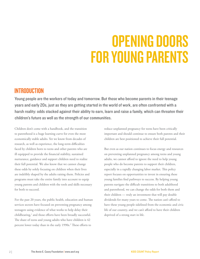# OPENING DOORS FOR YOUNG PARENTS

# <span id="page-3-0"></span>**INTRODUCTION**

Young people are the workers of today and tomorrow. But those who become parents in their teenage years and early 20s, just as they are getting started in the world of work, are often confronted with a harsh reality: odds stacked against their ability to earn, learn and raise a family, which can threaten their children's future as well as the strength of our communities.

Children don't come with a handbook, and the transition to parenthood is a huge learning curve for even the most economically stable adults. Yet we know from decades of research, as well as experience, the long-term difficulties faced by children born to teens and other parents who are ill equipped to provide the financial stability, sustained nurturance, guidance and support children need to realize their full potential. We also know that we cannot change these odds by solely focusing on children when their lives are indelibly shaped by the adults raising them. Policies and programs must take the entire family into account to equip young parents and children with the tools and skills necessary for both to succeed.

For the past 20 years, the public health, education and human services sectors have focused on preventing pregnancy among teenagers using evidence of what works to help delay their childbearing,<sup>1</sup> and those efforts have been broadly successful. The share of teens and young adults who have children is 42 percent lower today than in the early 1990s.<sup>[2](#page-18-2)</sup> These efforts to

reduce unplanned pregnancy for teens have been critically important and should continue to ensure both parents and their children are best positioned to achieve their full potential.

But even as our nation continues to focus energy and resources on preventing unplanned pregnancy among teens and young adults, we cannot afford to ignore the need to help young people who do become parents to support their children, especially in a rapidly changing labor market. This policy report focuses on opportunities to invest in ensuring these young families find pathways to success. By helping young parents navigate the difficult transitions to both adulthood and parenthood, we can change the odds for both them and their children — truly an investment that will pay double dividends for many years to come. The nation can't afford to have these young people sidelined from the economic and civic life of our country, and we can't afford to have their children deprived of a strong start in life.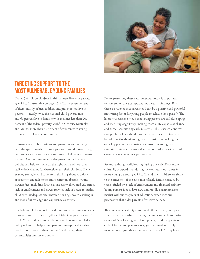

# <span id="page-4-0"></span>TARGETING SUPPORT TO THE MOST VULNERABLE YOUNG FAMILIES

Today, 3.4 million children in this country live with parents ages 18 to 24 (see table on page 10).<sup>[3](#page-18-3)</sup> Thirty-seven percent of them, mostly babies, toddlers and preschoolers, live in poverty — nearly twice the national child poverty rate and 69 percent live in families with incomes less than 200 percent of the federal poverty level[.4](#page-18-4) In Georgia, Kentucky and Maine, more than 80 percent of children with young parents live in low-income families.

In many cases, public systems and programs are not designed with the special needs of young parents in mind. Fortunately, we have learned a great deal about how to help young parents succeed. Common-sense, effective programs and targeted policies can help set them on the right path and help them realize their dreams for themselves and their children. These existing strategies and some fresh thinking about additional approaches can address the most common obstacles young parents face, including financial insecurity, disrupted education, lack of employment and career growth, lack of access to quality child care, inadequate and unstable housing, health challenges and lack of knowledge and experience as parents.

The balance of this report provides research, data and examples of ways to nurture the strengths and talents of parents ages 18 to 24. We include recommendations for how state and federal policymakers can help young parents develop the skills they need to contribute to their children's well-being, their communities and the economy.

Before presenting these recommendations, it is important to note some core assumptions and research findings. First, there is evidence that parenthood can be a positive and powerful motivating factor for young people to achieve their goals.<sup>[5,](#page-18-5)6</sup> The latest neuroscience shows that young parents are still developing and maturing cognitively, making them quite capable of change and success despite any early missteps.[7](#page-18-7) This research confirms that public policies should not perpetuate or institutionalize harmful myths about young parents. Instead of locking them out of opportunity, the nation can invest in young parents at this critical time and ensure that the doors of educational and career advancement are open for them.

Second, although childbearing during the early 20s is more culturally accepted than during the teen years, outcomes for many young parents ages 18 to 24 and their children are similar to the outcomes of the even more fragile families headed by teens[,8](#page-18-8) fueled by a lack of employment and financial stability. Young parents face today's new and rapidly changing labor market without the years of education, experience and perspective that older parents often have gained.

This financial instability compounds the stress any new parent would experience while reducing resources available to nurture their child's well-being and development, producing a vicious cycle. Most young parents work, yet their median family income hovers just above the poverty threshold[.9](#page-18-9) They have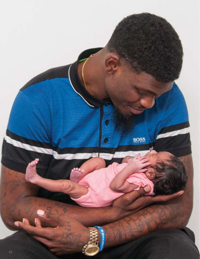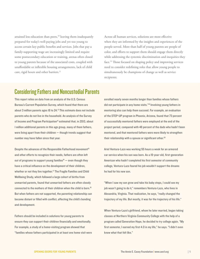attained less education than peers,<sup>10</sup> leaving them inadequately prepared for today's well-paying jobs and yet too young to access certain key public benefits and services. Jobs that pay a family-supporting wage are increasingly limited and require some postsecondary education or training, arenas often closed to young parents because of the associated costs, coupled with unaffordable or inflexible housing arrangements, lack of child care, rigid hours and other barriers.<sup>[11](#page-18-11)</sup>

Across all human services, solutions are most effective when they are informed by the insights and experiences of the people served. More than half of young parents are people of color, and efforts to support them should engage them directly while addressing the systemic discrimination and inequities they face.<sup>12</sup> Those focused on shaping policy and improving services need to consider redefining roles that allow young people to simultaneously be champions of change as well as service recipients.

# Considering Fathers and Noncustodial Parents

This report relies on data from an analysis of the U.S. Census Bureau's Current Population Survey, which found that there are about 3 million parents ages 18 to 24.<sup>13</sup> This estimate does not include parents who do not live in the household. An analysis of the Survey of Income and Program Participation<sup>14</sup> estimated that, in 2013, about 1 million additional parents in this age group, many of them fathers, were living apart from their children — though trends suggest that number may have fallen since that year.

Despite the advances of the Responsible Fatherhood movement<sup>15</sup> and other efforts to recognize their needs, fathers are often left out of programs to support young families<sup>[16](#page-18-16)</sup>  $-$  even though they have a critical influence on the development of their children, whether or not they live together.<sup>17</sup> The Fragile Families and Child Wellbeing Study, which followed a large cohort of births from unmarried parents, found that unmarried fathers are often closely connected to the mothers of their children when the child is born.<sup>[18](#page-18-18)</sup> But when fathers are not supported, the parenting relationship can become distant or filled with conflict, affecting the child's bonding and development.

Fathers should be included in solutions for young parents to ensure they can support their children financially and emotionally. For example, a study of a home-visiting program showed that "families whose fathers participated in at least one home visit were enrolled nearly seven months longer than families whose fathers did not participate in any home visits."<sup>[19](#page-18-19)</sup> Involving young fathers in mentoring also can help them succeed. For example, an evaluation of the STEP-UP program in Phoenix, Arizona, found that 73 percent of successfully mentored fathers were employed at the end of the project period, compared with 48 percent of the dads who hadn't been mentored, and that mentored fathers were more likely to strengthen their relationship with a spouse or significant other.<sup>20</sup>

Ariel Ventura-Lazo was working 55 hours a week for an armored car service when his son was born. As a 19-year-old, first-generation American who hadn't completed his first semester of community college, Ventura-Lazo feared his job wouldn't support the dreams he had for his new son.

"When I saw my son grow and take his baby steps, I could see my job wasn't going to do it," remembers Ventura-Lazo, who lives in Alexandria, Virginia. That realization, he says, "really changed the trajectory of my life. But mostly, it was for the trajectory of his life."

When Ventura-Lazo's girlfriend, whom he later married, began taking classes at Northern Virginia Community College with the help of a program called Generation Hope, he decided to try college again. "My first semester, I earned my first 4.0 in my life," he says. "I didn't even know what that felt like."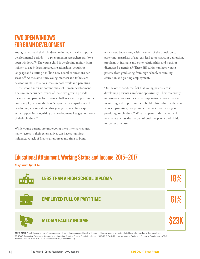# <span id="page-7-0"></span>TWO OPEN WINDOWS FOR BRAIN DEVELOPMENT

Young parents and their children are in two critically important developmental periods — a phenomenon researchers call "two open windows."[21](#page-19-1) The young child is developing rapidly from infancy to age 3: learning about relationships, acquiring language and creating a million new neural connections per second.<sup>22</sup> At the same time, young mothers and fathers are developing skills vital to success in both work and parenting — the second most important phase of human development. The simultaneous occurrence of these two growth periods means young parents face distinct challenges and opportunities. For example, because the brain's capacity for empathy is still developing, research shows that young parents often require extra support in recognizing the developmental stages and needs of their children.<sup>23</sup>

While young parents are undergoing these internal changes, many factors in their external lives can have a significant influence. A lack of financial resources and time to bond

with a new baby, along with the stress of the transition to parenting, regardless of age, can lead to postpartum depression, problems in intimate and other relationships and harsh or disengaged parenting.<sup>24</sup> These difficulties can keep young parents from graduating from high school, continuing education and gaining employment.

On the other hand, the fact that young parents are still developing presents significant opportunity. Their receptivity to positive emotions means that supportive services, such as mentoring and opportunities to build relationships with peers who are parenting, can promote success in both caring and providing for children[.25](#page-19-5) What happens in this period will reverberate across the lifespan of both the parent and child, for better or worse.

# Educational Attainment, Working Status and Income: 2015–2017



**DEFINITION**: Family income is that of the young parent, his or her spouse and the child; it does not include income from other individuals who may live in the household. **SOURCE**: Population Reference Bureau's analysis of data from the Current Population Survey, 2015–2017 Basic Monthly and Annual Social and Economic Supplement (ASEC). Retrieved from IPUMS-CPS, University of Minnesota, [www.ipums.org.](https://www.ipums.org/)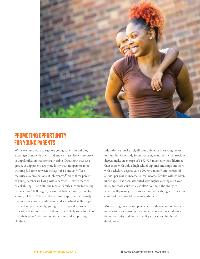

# <span id="page-8-0"></span>PROMOTING OPPORTUNITY FOR YOUNG PARENTS

While we must work to support young parents in building a stronger bond with their children, we must also ensure these young families are economically stable. Data show that, as a group, young parents are more likely than nonparents to be working full time between the ages of 18 and 24.<sup>26</sup> Yet a majority also face periods of joblessness.[27](#page-19-7) Sixty-three percent of young parents are living with a partner — either married or cohabiting — and still the median family income for young parents is \$23,000, slightly above the federal poverty level for a family of three.<sup>28</sup> In a workforce landscape that increasingly requires postsecondary education and specialized skills for jobs that will support a family, young parents typically have less education than nonparents and are far less likely to be in school than their peers<sup>29</sup> who are not also raising and supporting children.

Education can make a significant difference in earning power for families. One study found that single mothers with associate degrees make an average of \$152,927 more over their lifetimes than those with only a high school diploma and single mothers with bachelor's degrees earn \$296,044 more.<sup>30</sup> An increase of \$3,000 per year in income to low-income families with children under age 6 has been associated with higher earnings and work hours for those children as adults.<sup>[31](#page-19-11)</sup> Without the ability to secure well-paying jobs, however, families with higher education could still have trouble making ends meet.

Modernizing policies and practices to address common barriers to education and earning for young parents will open doors to the opportunity and family stability critical for childhood development.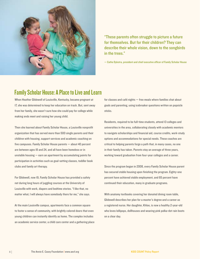

"These parents often struggle to picture a future for themselves. But for their children? They can describe their whole vision, down to the songbirds in the trees."

— Cathe Dykstra, president and chief executive officer of Family Scholar House

## Family Scholar House: A Place to Live and Learn

When Heather Glidewell of Louisville, Kentucky, became pregnant at 17, she was determined to keep her education on track. But, sent away from her family, she wasn't sure how she could pay for college while making ends meet and raising her young child.

Then she learned about Family Scholar House, a Louisville nonprofit organization that has served more than 500 single parents and their children with housing, support services and academic coaching on five campuses. Family Scholar House parents — about 40 percent are between ages 18 and 24, and all have been homeless or in unstable housing — earn an apartment by accumulating points for participation in activities such as goal-setting classes, toddler book clubs and family art therapy.

For Glidewell, now 19, Family Scholar House has provided a safety net during long hours of juggling courses at the University of Louisville with work, diapers and bedtime stories. "I like that, no matter what, I will always have somebody there for me," she says.

At the main Louisville campus, apartments face a common square to foster a sense of community, with brightly colored doors that even young children can instantly identify as home. The complex includes an academic service center, a child care center and a gathering place for classes and café nights — free meals where families chat about goals and parenting, using icebreaker questions written on popsicle sticks.

Residents, required to be full-time students, attend 13 colleges and universities in the area, collaborating closely with academic mentors to navigate scholarships and financial aid, course credits, work-study options and accommodations for special needs. These coaches are critical to helping parents forge a path that, in many cases, no one in their family has taken. Parents stay an average of three years, working toward graduation from four-year colleges and a career.

Since the program began in 2008, every Family Scholar House parent has secured stable housing upon finishing the program. Eighty-one percent have achieved stable employment, and 65 percent have continued their education, many in graduate programs.

With anatomy textbooks covering her donated dining room table, Glidewell describes her plan for a master's degree and a career as a registered nurse. Her daughter, Khloe, is now a healthy 2-year-old who loves lollipops, dollhouses and wearing pink polka-dot rain boots on a clear day.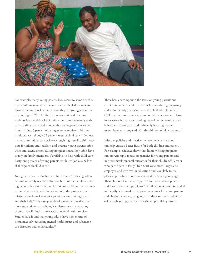

For example, many young parents lack access to some benefits that would increase their income, such as the federal or state Earned Income Tax Credit, because they are younger than the required age of 25. This limitation was designed to exempt students from middle-class families, but it unfortunately ends up excluding many of the vulnerable young parents who need it most.[32](#page-19-12) Just 5 percent of young parents receive child care subsidies, even though 63 percent require child care.<sup>33</sup> Because many communities do not have enough high-quality child care slots for infants and toddlers, and because young parents often work and attend school during irregular hours, they often have to rely on family members, if available, to help with child care.<sup>34</sup> Forty-one percent of young parents attributed jobless spells to challenges with child care.<sup>[35](#page-19-15)</sup>

Young parents are more likely to have insecure housing, often because of family rejection after the birth of their child and the high cost of housing.<sup>36</sup> About 1.1 million children have a young parent who experienced homelessness in the past year, yet relatively few homeless service providers serve young parents and their kids.[37](#page-19-17) Their stage of development also makes them more susceptible to psychological distress, yet many young parents have limited or no access to mental health services. Studies have found that young adults have higher rates of simultaneously occurring mental health issues and substance use disorders than older adults.<sup>[38](#page-19-18)</sup>

These barriers compound the stress on young parents and affect outcomes for children. Homelessness during pregnancy and a child's early years can harm the child's development.<sup>[39](#page-19-19)</sup> Children born to parents who are in their teens go on to have lower scores in math and reading, as well as on cognitive and behavioral assessments, and ultimately have high rates of unemployment compared with the children of older parents.<sup>40</sup>

Effective policies and practices reduce these barriers and can help create a better future for both children and parents. For example, evidence shows that home-visiting programs can prevent rapid repeat pregnancies for young parents and improve developmental outcomes for their children.<sup>41</sup> Parents who participate in Early Head Start were more likely to be employed and involved in education and less likely to use physical punishment or have a second birth at a young age. Their children had better cognitive and social development and fewer behavioral problems.<sup>42</sup> While more research is needed to identify what works to improve outcomes for young parents and children together, programs that draw on these individual evidence-based approaches have shown promising results.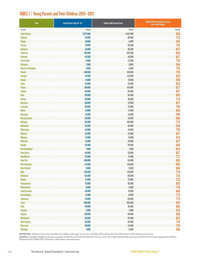## TABLE 1 | Young Parents and Their Children: 2015–2017

| <b>State</b>                | Young Parents (Ages 18-24) | <b>Children With Young Parents</b> | <b>Children With Young Parents Living in</b><br><b>Low-Income Families</b> |
|-----------------------------|----------------------------|------------------------------------|----------------------------------------------------------------------------|
| Location                    | Number                     | Number                             | Percent                                                                    |
| <b>United States</b>        | 2,877,000                  | 3,432,000                          | 69                                                                         |
| <b>Alabama</b>              | 76,000                     | 88,000                             | 73                                                                         |
| <b>Alaska</b>               | 10,000                     | II,000                             | 54                                                                         |
| <b>Arizona</b>              | 74,000                     | 92,000                             | 70                                                                         |
| <b>Arkansas</b>             | 34,000                     | 38,000                             | 67                                                                         |
| <b>California</b>           | 281,000                    | 350,000                            | 65                                                                         |
| <b>Colorado</b>             | 43,000                     | 48,000                             | 67                                                                         |
| <b>Connecticut</b>          | 17,000                     | 22,000                             | 70                                                                         |
| <b>Delaware</b>             | 7,000                      | 8,000                              | 54                                                                         |
| <b>District of Columbia</b> | 5,000                      | 6,000                              | 78                                                                         |
| <b>Florida</b>              | 148,000                    | 183,000                            | 78                                                                         |
| Georgia                     | III,000                    | 135,000                            | 85                                                                         |
| <b>Hawaii</b>               | 14,000                     | 18,000                             | 58                                                                         |
| <b>Idaho</b>                | 22,000                     | 25,000                             | 62                                                                         |
| <b>Illinois</b>             | 86,000                     | 105,000                            | 67                                                                         |
| <b>Indiana</b>              | 84,000                     | 89,000                             | 67                                                                         |
| <b>lowa</b>                 | 28,000                     | 36,000                             | 65                                                                         |
| <b>Kansas</b>               | 29,000                     | 36,000                             | 72                                                                         |
| <b>Kentucky</b>             | 50,000                     | 57,000                             | 81                                                                         |
| <b>Louisiana</b>            | 69,000                     | 87,000                             | 76                                                                         |
| <b>Maine</b>                | 10,000                     | 12,000                             | 85                                                                         |
| <b>Maryland</b>             | 31,000                     | 37,000                             | 59                                                                         |
| <b>Massachusetts</b>        | 28,000                     | 35,000                             | 66                                                                         |
| <b>Michigan</b>             | 85,000                     | 100,000                            | 73                                                                         |
| <b>Minnesota</b>            | 35,000                     | 38,000                             | 54                                                                         |
| <b>Mississippi</b>          | 44,000                     | 54,000                             | 76                                                                         |
| <b>Missouri</b>             | 67,000                     | 67,000                             | 67                                                                         |
| <b>Montana</b>              | 12,000                     | 13,000                             | 63                                                                         |
| <b>Nebraska</b>             | 21,000                     | 26,000                             | 67                                                                         |
| <b>Nevada</b>               | 22,000                     | 29,000                             | 60                                                                         |
| <b>New Hampshire</b>        | 7,000                      | 7,000                              | 63                                                                         |
| <b>New Jersey</b>           | 44,000                     | 55,000                             | 67                                                                         |
| <b>New Mexico</b>           | 33,000                     | 41,000                             | 77                                                                         |
| <b>New York</b>             | 108,000                    | 131,000                            | 66                                                                         |
| <b>North Carolina</b>       | 117,000                    | 134,000                            | 69                                                                         |
| <b>North Dakota</b>         | 8,000                      | 9,000                              |                                                                            |
| Ohio                        | 123,000                    | 144,000                            | 69<br>73                                                                   |
| <b>Oklahoma</b>             | 62,000                     | 66,000                             | 74                                                                         |
| <b>Oregon</b>               | 31,000                     | 33,000                             | 72                                                                         |
| Pennsylvania                | 91,000                     | 96,000                             | 65                                                                         |
| <b>Rhode Island</b>         | 6,000                      | 8,000                              | 79                                                                         |
| <b>South Carolina</b>       | 44,000                     | 51,000                             | 69                                                                         |
| <b>South Dakota</b>         | 12,000                     | 14,000                             | 73                                                                         |
| <b>Tennessee</b>            | 75,000                     | 99,000                             | 73                                                                         |
| <b>Texas</b>                | 358,000                    | 450,000                            | 65                                                                         |
| <b>Utah</b>                 | 36,000                     | 36,000                             | 60                                                                         |
| <b>Vermont</b>              | 3,000                      | 3,000                              | 53                                                                         |
| <b>Virginia</b>             | 60,000                     | 68,000                             | 69                                                                         |
| <b>Washington</b>           | 50,000                     | 62,000                             | 63                                                                         |
| <b>West Virginia</b>        | 20,000                     | 20,000                             | 74                                                                         |
| <b>Wisconsin</b>            | 38,000                     | 54,000                             | 75                                                                         |
| Wyoming                     | 7,000                      | 8,000                              | 59                                                                         |

**DEFINITION**: Children in low-income families are children under age 18 who live in families with incomes less than 200 percent of the federal poverty level.

**SOURCE**: Population Reference Bureau's analysis of data from the Current Population Survey, 2015–2017 Basic Monthly files and Annual Social and Economic Supplement (ASEC).<br>Retrieved from IPUMS-CPS, University of Minnesota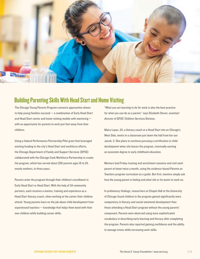

# Building Parenting Skills With Head Start and Home Visiting

The Chicago Young Parents Program connects approaches shown to help young families succeed — a combination of Early Head Start and Head Start center and home-visiting models with mentoring with an opportunity for parents to work just feet away from their children.

Using a federal Performance Partnership Pilot grant that leveraged existing funding to the city's Head Start and workforce efforts, the Chicago Department of Family and Support Services (DFSS) collaborated with the Chicago Cook Workforce Partnership to create the program, which has served about 250 parents ages 16 to 24, mostly mothers, in three years.

Parents enter the program through their children's enrollment in Early Head Start or Head Start. With the help of 34 community partners, each receives a mentor, training and experience as a Head Start literacy coach, often working at the center their children attend. Young parents learn on the job about child development from experienced teachers — knowledge that helps them bond with their own children while building career skills.

"What you are learning to do for work is also the best practice for what you can do as a parent," says Elizabeth Stover, assistant director of DFSS' Children Services Division.

Maira Lopez, 24, a literacy coach at a Head Start site on Chicago's West Side, works in a classroom just down the hall from her son Jacob, 3. She plans to continue pursuing a certification in child development when she leaves the program, eventually earning an associate degree in early childhood education.

Mentors lead Friday training and enrichment sessions and visit each parent at home twice a month, using the evidence-based Parents as Teachers program curriculum as a guide. But first, mentors simply ask how the young parent is feeling and what she or he wants to work on.

In preliminary findings, researchers at Chapin Hall at the University of Chicago found children in the program gained significantly more competency in literacy and social-emotional development than those attending a Head Start program without the young parents' component. Parents were observed using more sophisticated vocabulary in describing early learning and literacy after completing the program. Parents also reported gaining confidence and the ability to manage stress while increasing work skills.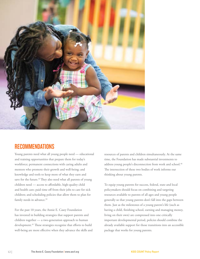

# <span id="page-13-0"></span>RECOMMENDATIONS

Young parents need what all young people need — educational and training opportunities that prepare them for today's workforce; permanent connections with caring adults and mentors who promote their growth and well-being; and knowledge and tools to keep more of what they earn and save for the future.<sup>43</sup> They also need what all parents of young children need — access to affordable, high-quality child and health care; paid time off from their jobs to care for sick children; and scheduling policies that allow them to plan for family needs in advance.<sup>44</sup>

For the past 10 years, the Annie E. Casey Foundation has invested in building strategies that support parents and children together — a two-generation approach to human development.<sup>45</sup> These strategies recognize that efforts to build well-being are more effective when they advance the skills and

resources of parents and children simultaneously. At the same time, the Foundation has made substantial investments to address young people's disconnection from work and school.<sup>[46](#page-20-1)</sup> The intersection of these two bodies of work informs our thinking about young parents.

To equip young parents for success, federal, state and local policymakers should focus on combining and targeting resources available to parents of all ages and young people generally so that young parents don't fall into the gaps between them. Just as the milestones of a young parent's life (such as having a child, finishing school, earning and managing money, living on their own) are compressed into one critically important developmental period, policies should combine the already available support for those transitions into an accessible package that works for young parents.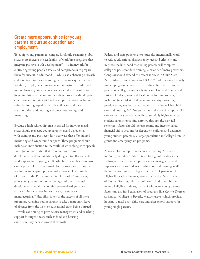#### Create more opportunities for young parents to pursue education and employment.

To equip young parents to compete for family-sustaining jobs, states must increase the availability of workforce programs that integrate positive youth development $47$  — a framework for cultivating young people's assets and competencies to prepare them for success in adulthood — while also enhancing outreach and retention strategies so young parents can acquire the skills sought by employers in high-demand industries. To address the unique barriers young parents face, especially those of color living in disinvested communities, these programs should pair education and training with other support services, including subsidies for high-quality, flexible child care and pre-K; transportation and housing assistance; counseling; and mentoring.

Because a high school diploma is critical for moving ahead, states should reengage young parents toward a credential with training and postsecondary pathways that offer tailored mentoring and wraparound support. These programs should include an introduction to the world of work along with specific skills. Job opportunities that promote positive youth development and are intentionally designed to offer valuable work experience to young adults who have never been employed can help them learn about workplace norms, practice conflict resolution and expand professional networks. For example, Our Piece of the Pie, a program in Hartford, Connecticut, pairs young parents and other young adults with a youth development specialist who offers personalized guidance as they train for careers in health care, insurance and manufacturing[.48](#page-20-3) Flexibility is key to the success of all these programs. Allowing young parents to take a temporary leave of absence from the work or educational track being pursued — while continuing to provide case management and coaching support for urgent needs such as food and housing can ensure they persist toward their goals.

Federal and state policymakers must also intentionally work to reduce educational disparities by race and ethnicity and improve the likelihood that young parents will complete college or postsecondary training, a priority of many governors. Congress should expand the recent increase in Child Care Access Means Parents in School (CCAMPIS), the only federally funded program dedicated to providing child care to student parents on college campuses. States can blend and braid a wide variety of federal, state and local public funding sources, including financial aid and economic security programs, to provide young student parents access to quality, reliable child care and housing[.49](#page-20-4),[50](#page-20-5) One study found the use of campus child care centers was associated with substantially higher rates of student parents remaining enrolled through the next fall semester.[51](#page-20-6) States should increase grants and income-based financial aid to account for dependent children and designate young student parents as a target population in College Promise grants and emergency aid programs.

Arkansas, for example, draws on a Temporary Assistance for Needy Families (TANF) state block grant for its Career Pathways Initiative, which provides case management and support services to students in education and training at all the state's community colleges. The state's Department of Higher Education has an agreement with the Department of Human Services, which administers child care subsidies, to enroll eligible students, many of whom are young parents. States can also fund expansion of programs like Keys to Degrees at Endicott College in Beverly, Massachusetts, which provides housing, a meal plan, child care and after-school support for young single parents.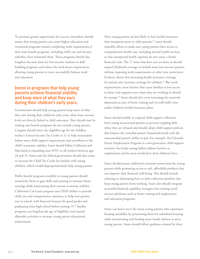To promote greater opportunity for success, lawmakers should ensure that young parents can count higher-education and vocational programs toward completing work requirements if their state benefit programs, including child care and income subsidies, have instituted them. Those programs should also lengthen the time limit for low-income students in skillbuilding programs and reduce the work-hours requirement, allowing young parents to more successfully balance work and education.

#### Invest in programs that help young parents achieve financial stability and keep more of what they earn during their children's early years.

Governments should help young parents keep more of what they earn during their children's early years, when basic income levels are directly linked to child outcomes. They should start by making sure benefit programs do not exclude young parents. Congress should lower the eligibility age for the childless worker's Earned Income Tax Credit to 21 to help nonresident fathers meet child support requirements and contribute to the child's economic stability. States should follow California and Maryland in expanding state EITC to all workers between ages 18 and 25. States and the federal government should also create or increase the Child Tax Credit for families with young children, which would disproportionately help young parents.

Public benefit programs available to young parents should incentivize them to gain skills and training to increase future earnings while maintaining their current economic stability. California's Cal-Learn program uses TANF dollars to provide child care and transportation assistance to help teen parents stay in school, with financial bonuses for good grades and graduating from high school before turning 19[.52](#page-20-7) Similar programs can lengthen the age of eligibility and expand allowable activities to increase young parent educational achievement.

Since young parents are less likely to have health insurance than nonparent peers or older parents,<sup>53</sup> states should redouble efforts to make sure young parents have access to comprehensive health care, including mental health services, so that unexpected health expenses do not create a family financial crisis. The 17 states that have not yet done so should expand Medicaid coverage to include more low-income parents, without imposing work requirements or other new restrictions. Evidence shows that increasing health insurance coverage for parents also increases coverage for children.<sup>54</sup> But work requirements create barriers that cause families to lose access to these vital supports even when they are working or should be exempt.<sup>[55](#page-20-10)</sup> States should also cover screenings for maternal depression as part of home visiting and via well-child visits under children's health insurance plans.

States should modify or suspend child support collection from young incarcerated parents to prevent crippling debt when they are released and should adopt child support policies that balance the custodial parent's household needs with the noncustodial parent's ability to pay. For example, the Colorado Parent Employment Program is a two-generation child support initiative that helps young fathers address barriers to employment and be more involved in their children's lives.

States should pursue additional consumer protections for young parents while promoting access to safe, affordable products that can improve their financial well-being. This should include reducing or eliminating loan or debt-collection penalties that keep young parents from working. States also should integrate successful financial capability strategies into existing social services platforms such as home-visiting and employment and education programs.

States can better serve the many young parents who experience housing instability by prioritizing them for subsidized housing while incentivizing and funding more family shelters to serve young parents. States should follow guidance released by three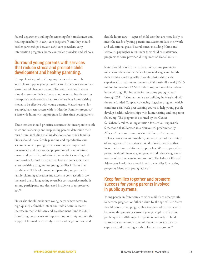federal departments calling for screening for homelessness and housing instability in early care programs,<sup>56</sup> and they should broker partnerships between early care providers, early intervention programs, homeless service providers and schools.

#### Surround young parents with services that reduce stress and promote child development and healthy parenting.

Comprehensive, culturally appropriate services must be available to support young mothers and fathers as soon as they learn they will become parents. To meet these needs, states should make sure their early-care and maternal health services incorporate evidence-based approaches such as home visiting shown to be effective with young parents. Massachusetts, for example, has seen success with its Healthy Families program,<sup>[57](#page-20-12)</sup> a statewide home-visiting program for first-time young parents.

These services should prioritize resources that incorporate youth voice and leadership and help young parents determine their own future, including making decisions about their families. States should make family planning and reproductive care accessible to help young parents avoid repeat unplanned pregnancies and increase the preparation of home-visiting nurses and pediatric professionals to conduct screening and intervention for intimate partner violence. Steps to Success, a home-visiting program for young families in Texas that combines child development and parenting support with family-planning education and access to contraception, saw increased use of long-acting reversible contraceptive methods among participants and decreased incidence of unprotected sex.<sup>[58](#page-20-13)</sup>

States also should make sure young parents have access to high-quality, affordable infant and toddler care. A recent increase in the Child Care and Development Fund (CCDF) from Congress presents an important opportunity to build the supply of licensed care; family, friend and neighbor care; and

flexible hours care — types of child care that are more likely to meet the needs of young parents and accommodate their work and educational goals. Several states, including Maine and Missouri, pay higher rates under their child care assistance programs for care provided during nontraditional hours.<sup>[59](#page-20-14)</sup>

States should prioritize care that equips young parents to understand their children's developmental stages and builds their decision-making skills through relationships with experienced caregivers and mentors. California allocated \$158.5 million in one-time TANF funds to support an evidence-based home-visiting pilot initiative for first-time young parents through 2021.<sup>[60](#page-20-15)</sup> Momentum is also building in Maryland with the state-funded Couples Advancing Together program, which combines a six-week peer learning course to help young people develop healthy relationships with home visiting and long-term follow-up. The program is operated by the Center for Urban Families, an organization focused on responsible fatherhood that's located in a disinvested, predominantly African-American community in Baltimore. As trauma, violence, isolation and instability are often part of the context of young parents' lives, states should prioritize services that incorporate trauma-informed approaches. When appropriate, programs should involve grandparents and other caregivers as sources of encouragement and support. The federal Office of Adolescent Health has a toolkit with a checklist for creating programs friendly to young fathers.<sup>[61](#page-20-16)</sup>

#### Keep families together and promote success for young parents involved in public systems.

Young people in foster care are twice as likely as other youth to become pregnant or father a child by the age of 19.<sup>62</sup> States should prioritize keeping families together, which starts with knowing the parenting status of young people involved in public systems. Although the update is currently on hold, a process was underway to require states to collect data on expectant and parenting youth in foster care systems.<sup>63</sup>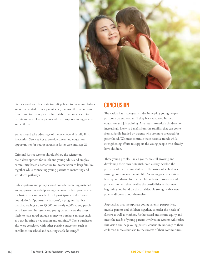

States should use these data to craft policies to make sure babies are not separated from a parent solely because the parent is in foster care, to ensure parents have stable placements and to recruit and train foster parents who can support young parents and children.

States should take advantage of the new federal Family First Prevention Services Act to provide career and education opportunities for young parents in foster care until age 26.

Criminal justice systems should follow the science on brain development for youth and young adults and employ community-based alternatives to incarceration to keep families together while connecting young parents to mentoring and workforce pathways.

Public systems and policy should consider targeting matched savings programs to help young systems-involved parents save for basic assets and needs. Of all participants in the Casey Foundation's Opportunity Passport®, a program that has matched savings up to \$3,000 for nearly 4,000 young people who have been in foster care, young parents were the most likely to have saved enough money to purchase an asset such as a car, housing or education and training.<sup>64</sup> These purchases also were correlated with other positive outcomes, such as enrollment in school and securing stable housing.<sup>65</sup>

# <span id="page-17-0"></span>**CONCLUSION**

The nation has made great strides in helping young people postpone parenthood until they have advanced in their education and job training. As a result, America's children are increasingly likely to benefit from the stability that can come from a family headed by parents who are more prepared for parenthood. We must continue these positive trends while strengthening efforts to support the young people who already have children.

These young people, like all youth, are still growing and developing their own potential, even as they develop the potential of their young children. The arrival of a child is a turning point in any parent's life. As young parents create a healthy foundation for their children, better programs and policies can help them realize the possibilities of that new beginning and build on the considerable strengths that new parents discover about themselves.

Approaches that incorporate young parents' perspectives, involve parents and children together, consider the needs of fathers as well as mothers, further racial and ethnic equity and meet the needs of young parents involved in systems will realize this vision and help young parents contribute not only to their children's success but also to the success of their communities.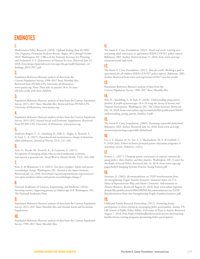# <span id="page-18-0"></span>ENDNOTES

#### <span id="page-18-1"></span>1.

Mathematica Policy Research. (2018). *Updated findings from the HHS Teen Pregnancy Prevention Evidence Review: August 2015 through October 2016.* Washington, DC: Office of the Assistant Secretary for Planning and Evaluation, U.S. Department of Human Services. Retrieved July 16, 2018, from [https://tppevidencereview.aspe.hhs.gov/pdfs/Summary\\_of\\_](https://tppevidencereview.aspe.hhs.gov/pdfs/Summary_of_findings_2016-2017.pdf) [findings\\_2016-2017.pdf](https://tppevidencereview.aspe.hhs.gov/pdfs/Summary_of_findings_2016-2017.pdf)

#### <span id="page-18-2"></span>2.

Population Reference Bureau's analysis of data from the Current Population Survey, 1990–2017 Basic Monthly files. Retrieved from IPUMS-CPS, University of Minnesota, [www.ipums.org](https://www.ipums.org/). Note: Data refer to parents 18 to 24 years old who reside with their children.

#### <span id="page-18-3"></span>3.

Population Reference Bureau's analysis of data from the Current Population Survey, 2015–2017 Basic Monthly files. Retrieved from IPUMS-CPS, University of Minnesota, [www.ipums.org](https://www.ipums.org/).

#### <span id="page-18-4"></span>4.

Population Reference Bureau's analysis of data from the Current Population Survey, 2015–2017 Annual Social and Economic Supplement. Retrieved from IPUMS-CPS, University of Minnesota, [www.ipums.org](https://www.ipums.org/).

#### <span id="page-18-5"></span>5.

Zimbrick-Rogers, C. G., Ginsburg, K., Hill, C., Fegley, S., Ravitch, S., & Ford, C. A. (2017). Parenthood and motivation to change in homeless older adolescents. *Journal of Poverty, 21*(3), 227–246.

#### <span id="page-18-6"></span>6.

Tran, A., Preyde, M., Frensch, K., & Cameron, G. (2017). Perceptions of emerging adults who accessed residential treatment and entered a parental role. *Social Work in Mental Health, 15*(2), 184–208.

#### <span id="page-18-7"></span>7.

Kim, P., & Watamura, S. E. (2015). *Two open windows: Infant and parent neurobiologic change.* Washington, DC: Ascend at the Aspen Institute. Retrieved July 16, 2018, from [https://ascend.aspeninstitute.org/resources/](https://ascend.aspeninstitute.org/resources/two-open-windows-infant-and-parent-neurobiologic-change-2) [two-open-windows-infant-and-parent-neurobiologic-change-2](https://ascend.aspeninstitute.org/resources/two-open-windows-infant-and-parent-neurobiologic-change-2)

#### <span id="page-18-8"></span>8.

National Academies of Sciences, Engineering, and Medicine. (2016). *Parenting matters: Supporting parents of children ages 0-8.* Washington, DC: The National Academies Press.

#### <span id="page-18-9"></span>9.

Population Reference Bureau's analysis of data from the Current Population Survey, 2015–2017 Basic Monthly files and Annual Social and Economic Supplement.

#### <span id="page-18-10"></span>10.

Population Reference Bureau's analysis of data from the Current Population Survey, 1990–2017 Basic Monthly files.

#### <span id="page-18-11"></span>11.

The Annie E. Casey Foundation. (2012). *Youth and work: restoring teen and young adult connections to opportunity* (KIDS COUNT policy report). Baltimore, MD: Author. Retrieved June 11, 2018, from [www.aecf.org/](https://www.aecf.org/resources/youth-and-work/?utm_source=policy+report&utm_medium=pdf&utm_campaign=opening+doors&utm_content=end+notes&utm_term=aecf.org) [resources/youth-and-work](https://www.aecf.org/resources/youth-and-work/?utm_source=policy+report&utm_medium=pdf&utm_campaign=opening+doors&utm_content=end+notes&utm_term=aecf.org)

#### <span id="page-18-12"></span>12.

The Annie E. Casey Foundation. (2017). *Race for results: Building a path to opportunity for all children* (KIDS COUNT policy report). Baltimore, MD: Author. Retrieved from [www.aecf.org/resources/2017-race-for-results](https://www.aecf.org/resources/2017-race-for-results/?utm_source=policy+report&utm_medium=pdf&utm_campaign=opening+doors&utm_content=end+notes&utm_term=aecf.org)

#### <span id="page-18-13"></span>13.

Population Reference Bureau's analysis of data from the Current Population Survey, 1990–2017 Basic Monthly files.

#### <span id="page-18-14"></span>14.

Sick, N., Spaulding, S., & Park, Y. (2018). *Understanding young-parent families: A profile of parents ages 18 to 24 using the Survey of Income and Program Participation.* Washington, DC: The Urban Institute. Retrieved July 16, 2018, from [www.urban.org/sites/default/files/publication/96691/](http://www.urban.org/sites/default/files/publication/96691/understanding_young_parent_families_0.pdf) [understanding\\_young\\_parent\\_families\\_0.pdf](http://www.urban.org/sites/default/files/publication/96691/understanding_young_parent_families_0.pdf)

#### <span id="page-18-15"></span>15.

The Annie E. Casey Foundation. (2005). *Promoting responsible fatherhood.* Baltimore, MD: Author. Retrieved July 16, 2018, from [www.aecf.org/](https://www.aecf.org/resources/promoting-responsible-fatherhood/?utm_source=policy+report&utm_medium=pdf&utm_campaign=opening+doors&utm_content=end+notes&utm_term=aecf.org) [resources/promoting-responsible-fatherhood](https://www.aecf.org/resources/promoting-responsible-fatherhood/?utm_source=policy+report&utm_medium=pdf&utm_campaign=opening+doors&utm_content=end+notes&utm_term=aecf.org)

#### <span id="page-18-16"></span>16.

Lee, J. Y., Knauer, H. A., Lee, S. J., MacEachern, M. P., & Garfield, C. F. (2018, July). Father-inclusive perinatal parent education programs: A systematic review. *Pediatrics, 142*(1).

#### <span id="page-18-17"></span>17.

Primus, L. (2017.) *Changing systems and practice to improve outcomes for young fathers, their children and their families.* Washington, DC: Center for the Study of Social Policy. Retrieved July 16, 2018, from [www.cssp.org/](https://www.cssp.org/pages/body/Changing-Systems-Practice-Young-Fathers.pdf) [pages/body/Changing-Systems-Practice-Young-Fathers.pdf](https://www.cssp.org/pages/body/Changing-Systems-Practice-Young-Fathers.pdf)

#### <span id="page-18-18"></span>18.

Sorensen, E. (2002). *Recommendations on TANF reauthorization from the Strengthening Fragile Families Initiative: Statement before the U.S. House of Representatives Ways and Means Committee, Subcommittee on Human Resources.* Retrieved August 14, 2018, from [www.urban.org/sites/](https://www.urban.org/sites/default/files/publication/63966/900508-Recommendations-on-TANF-Reauthorization-from-the-Strengthening-Fragile-Families-Initiative.pdf) [default/files/publication/63966/900508-Recommendations-on-TANF-](https://www.urban.org/sites/default/files/publication/63966/900508-Recommendations-on-TANF-Reauthorization-from-the-Strengthening-Fragile-Families-Initiative.pdf)[Reauthorization-from-the-Strengthening-Fragile-Families-Initiative.pdf](https://www.urban.org/sites/default/files/publication/63966/900508-Recommendations-on-TANF-Reauthorization-from-the-Strengthening-Fragile-Families-Initiative.pdf)

#### <span id="page-18-19"></span>19.

Child and Family Research Partnership. (2017). *Promoting family participation in home visiting by encouraging father participation.* Austin, TX: LBJ School of Public Policy Affairs, University of Texas at Austin. Retrieved August 7, 2018, from [https://childandfamilyresearch.utexas.edu/retaining](https://childandfamilyresearch.utexas.edu/retaining-families-home-visiting-programs-promoting-father-participation)[families-home-visiting-programs-promoting-father-participation](https://childandfamilyresearch.utexas.edu/retaining-families-home-visiting-programs-promoting-father-participation)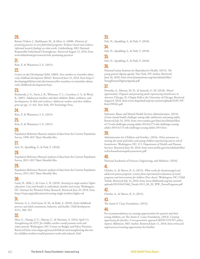#### <span id="page-19-0"></span>20.

Bronte-Tinkew, J., Burkhauser, M., & Metz, A. (2008). *Elements of promising practice in teen fatherhood programs: Evidence-based and evidenceinformed research findings on what works.* Gaithersburg, MD: National Responsible Fatherhood Clearinghouse. Retrieved August 13, 2018, from [www.fatherhood.gov/content/nrfc-promising-practices](https://www.fatherhood.gov/content/nrfc-promising-practices)

#### <span id="page-19-1"></span>21.

Kim, P., & Watamura, S. E. (2015).

#### <span id="page-19-2"></span>22.

Center on the Developing Child. (2009). *Five numbers to remember about early childhood development* (Brief). Retrieved June 22, 2018, from [https://](https://developingchild.harvard.edu/resources/five-numbers-to-remember-about-early-childhood-development/#cps) [developingchild.harvard.edu/resources/five-numbers-to-remember-about](https://developingchild.harvard.edu/resources/five-numbers-to-remember-about-early-childhood-development/#cps)[early-childhood-development/#cps](https://developingchild.harvard.edu/resources/five-numbers-to-remember-about-early-childhood-development/#cps)

#### <span id="page-19-3"></span>23.

Borkowski, J. G., Farris, J. R., Whitman, T. L., Carothers, S. S., & Weed, K. (2007). Adolescent mothers and their children: Risks, resilience, and development. In *Risk and resilience: Adolescent mothers and their children grow up* (pp. 11–44). New York, NY: Psychology Press.

#### <span id="page-19-4"></span>24.

Kim, P., & Watamura, S. E. (2015).

#### <span id="page-19-5"></span>25.

Kim, P., & Watamura, S. E. (2015).

#### <span id="page-19-6"></span>26.

Population Reference Bureau's analysis of data from the Current Population Survey, 1990–2017 Basic Monthly files.

#### <span id="page-19-7"></span>27.

Sick, N., Spaulding, S., & Park, Y. (2018).

#### <span id="page-19-8"></span>28.

Population Reference Bureau's analysis of data from the Current Population Survey, 2015–2017 Basic Monthly files.

#### <span id="page-19-9"></span>29.

Population Reference Bureau's analysis of data from the Current Population Survey, 2015–2017 Basic Monthly files.

#### <span id="page-19-10"></span>30.

Gault, B., Milli, J., & Cruse, L. R. (2018). *Investing in single mothers' higher education: Costs and benefits to individuals, families and society.* Washington, DC: Institute for Women's Policy Research. Retrieved June 29, 2018, from <https://iwpr.org/publications/investing-single-mothers-higher-ed>

#### <span id="page-19-11"></span>31.

Duncan, G. J., Ziol‐Guest, K. M., & Kalil, A. (2010). Early‐childhood poverty and adult attainment, behavior, and health. *Child development, 81*(1), 306–325.

#### <span id="page-19-12"></span>32.

Marr, C., Huang, C-C., Murray, C., & Sherman, A. (2016, April 11). *Strengthening the EITC for childless workers would promote work and reduce poverty.* Washington, DC: Center on Budget and Policy Priorities. Retrieved from [www.cbpp.org/research/federal-tax/strengthening-the-eitc](https://www.cbpp.org/research/federal-tax/strengthening-the-eitc-for-childless-workers-would-promote-work-and-reduce#_ftn8)[for-childless-workers-would-promote-work-and-reduce#\\_ftn8](https://www.cbpp.org/research/federal-tax/strengthening-the-eitc-for-childless-workers-would-promote-work-and-reduce#_ftn8)

#### <span id="page-19-13"></span>33.

Sick, N., Spaulding, S., & Park, Y. (2018).

#### <span id="page-19-14"></span>34.

Sick, N., Spaulding, S., & Park, Y. (2018).

#### <span id="page-19-15"></span>35.

Sick, N., Spaulding, S., & Park, Y. (2018).

#### <span id="page-19-16"></span>36.

National Latina Institute for Reproductive Health. (2015). *The young parents' dignity agenda.* New York, NY: Author. Retrieved June 26, 2018, from [www.latinainstitute.org/sites/default/files/](http://www.latinainstitute.org/sites/default/files/YoungParentsDignityAgenda.pdf) [YoungParentsDignityAgenda.pdf](http://www.latinainstitute.org/sites/default/files/YoungParentsDignityAgenda.pdf)

#### <span id="page-19-17"></span>37.

Dworsky, A., Morton, M. H., & Samuels, G. M. (2018). *Missed opportunities: Pregnant and parenting youth experiencing homelessness in America.* Chicago, IL: Chapin Hall at the University of Chicago. Retrieved August 8, 2018, from [www.chapinhall.org/wp-content/uploads/VoYC-PP-](https://www.chapinhall.org/wp-content/uploads/VoYC-PP-Brief-FINAL.pdf)[Brief-FINAL.pdf](https://www.chapinhall.org/wp-content/uploads/VoYC-PP-Brief-FINAL.pdf)

#### <span id="page-19-18"></span>38.

Substance Abuse and Mental Health Services Administration. (2014). *Serious mental health challenges among older adolescents and young adults.* Retrieved July 24, 2018, from [www.samhsa.gov/data/sites/default/files/](https://www.samhsa.gov/data/sites/default/files/sr173-mh-challenges-young-adults-2014/sr173-mh-challenges-young-adults-2014/sr173-mh-challenges-young-adults-2014.htm) [sr173-mh-challenges-young-adults-2014/sr173-mh-challenges-young](https://www.samhsa.gov/data/sites/default/files/sr173-mh-challenges-young-adults-2014/sr173-mh-challenges-young-adults-2014/sr173-mh-challenges-young-adults-2014.htm)[adults-2014/sr173-mh-challenges-young-adults-2014.htm](https://www.samhsa.gov/data/sites/default/files/sr173-mh-challenges-young-adults-2014/sr173-mh-challenges-young-adults-2014/sr173-mh-challenges-young-adults-2014.htm)

#### <span id="page-19-19"></span>39.

Administration for Children and Families. (2016). *Policy statement on meeting the needs of families with young children experiencing and at risk of homelessness.* Washington, DC: U.S. Department of Health and Human Services. Retrieved June 26, 2018, from [www.acf.hhs.gov/sites/default/files/](https://www.acf.hhs.gov/sites/default/files/ecd/echomelessnesspolicystatement.pdf) [ecd/echomelessnesspolicystatement.pdf](https://www.acf.hhs.gov/sites/default/files/ecd/echomelessnesspolicystatement.pdf)

#### <span id="page-19-20"></span>40.

National Academies of Sciences, Engineering, and Medicine. (2016).

### <span id="page-19-21"></span>41.

Chrisler, A., & Moore, K. A. (2012). *What works for disadvantaged and adolescent parent programs: Lessons from experimental evaluations of social programs and interventions for children* (Fact sheet). Washington, DC: Child Trends. Retrieved July 14, 2018, from [www.childtrends.org/wp-content/](https://www.childtrends.org/wp-content/uploads/2013/04/Child_Trends-2012_08_20_WW_ParentPrograms.pdf) [uploads/2013/04/Child\\_Trends-2012\\_08\\_20\\_WW\\_ParentPrograms.pdf](https://www.childtrends.org/wp-content/uploads/2013/04/Child_Trends-2012_08_20_WW_ParentPrograms.pdf)

#### <span id="page-19-22"></span>42.

Chrisler, A., & Moore, K. A. (2012).

#### <span id="page-19-23"></span>43.

The Annie E. Casey Foundation. (2012).

#### <span id="page-19-24"></span>44.

For recommendations on creating opportunities for parents and their young children, see The Annie E. Casey Foundation. (2014). *Creating opportunity for families: A two-generation approach* (KIDS COUNT policy report). Baltimore, MD: Author. Retrieved June 11, 2018, from [www.aecf.](https://www.aecf.org/resources/creating-opportunity-for-families/?utm_source=policy+report&utm_medium=pdf&utm_campaign=opening+doors&utm_content=end+notes&utm_term=aecf.org) [org/resources/creating-opportunity-for-families](https://www.aecf.org/resources/creating-opportunity-for-families/?utm_source=policy+report&utm_medium=pdf&utm_campaign=opening+doors&utm_content=end+notes&utm_term=aecf.org)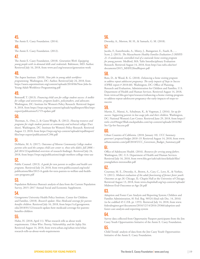#### <span id="page-20-0"></span>45.

The Annie E. Casey Foundation. (2014).

#### <span id="page-20-1"></span>46.

The Annie E. Casey Foundation. (2012).

#### <span id="page-20-2"></span>47.

The Annie E. Casey Foundation. (2018). *Generation Work: Equipping young people with in-demand skills and credentials.* Baltimore, MD: Author. Retrieved July 16, 2018, from [www.aecf.org/resources/generation-work](https://www.aecf.org/resources/generation-work/?utm_source=policy+report&utm_medium=pdf&utm_campaign=opening+doors&utm_content=end+notes&utm_term=aecf.org)

#### <span id="page-20-3"></span>48.

The Aspen Institute. (2018). *Now jobs in young adult workforce programming.* Washington, DC: Author. Retrieved July 24, 2018, from [https://assets.aspeninstitute.org/content/uploads/2018/06/Now-Jobs-In-](https://assets.aspeninstitute.org/content/uploads/2018/06/Now-Jobs-In-Young-Adult-Workforce-Programming.pdf)[Young-Adult-Workforce-Programming.pdf](https://assets.aspeninstitute.org/content/uploads/2018/06/Now-Jobs-In-Young-Adult-Workforce-Programming.pdf)

#### <span id="page-20-4"></span>49.

Boressoff, T. (2013). *Financing child care for college student success: A toolkit for colleges and universities, program leaders, policymakers, and advocates.*  Washington, DC: Institute for Women's Policy Research. Retrieved August 8, 2018, from [https://iwpr.org/wp-content/uploads/wpallimport/files/iwpr](https://iwpr.org/wp-content/uploads/wpallimport/files/iwpr-export/publications/G719-update.pdf)[export/publications/G719-update.pdf](https://iwpr.org/wp-content/uploads/wpallimport/files/iwpr-export/publications/G719-update.pdf)

#### <span id="page-20-5"></span>50.

Thorman, A., Otto, J., & Gunn-Wright, R. (2012). *Housing resources and programs for single student parents at community and technical colleges* (Fact sheet). Washington, DC: Institute for Women's Policy Research. Retrieved August 13, 2018, from [https://iwpr.org/wp-content/uploads/wpallimport/](https://iwpr.org/wp-content/uploads/wpallimport/files/iwpr-export/publications/C396.pdf) [files/iwpr-export/publications/C396.pdf](https://iwpr.org/wp-content/uploads/wpallimport/files/iwpr-export/publications/C396.pdf)

#### <span id="page-20-6"></span>51.

DeMario, M. A. (2017). *Outcomes of Monroe Community College student*  parents who used the campus child care center vs. those who didn't, fall 2006 *fall 2014* (Unpublished overview of research findings). Retrieved July 24, 2018, from<https://iwpr.org/publications/single-mothers-college-time-use>

#### <span id="page-20-7"></span>52.

Public Counsel. (2013). *A guide for teen parents to welfare and health care programs.* Retrieved July 24, 2018, from [www.publiccounsel.org/tools/](http://www.publiccounsel.org/tools/publications/files/2013-A-guide-for-teen-parents-to-welfare-and-health-care-programs.pdf) [publications/files/2013-A-guide-for-teen-parents-to-welfare-and-health](http://www.publiccounsel.org/tools/publications/files/2013-A-guide-for-teen-parents-to-welfare-and-health-care-programs.pdf)[care-programs.pdf](http://www.publiccounsel.org/tools/publications/files/2013-A-guide-for-teen-parents-to-welfare-and-health-care-programs.pdf)

#### <span id="page-20-8"></span>53.

Population Reference Bureau's analysis of data from the Current Population Survey, 2015–2017 Annual Social and Economic Supplement.

#### <span id="page-20-9"></span>54.

Georgetown University Health Policy Institute, Center for Children and Families. (2018). *Research update: How Medicaid coverage for parents benefits children.* Retrieved July 16, 2018, from [https://ccf.georgetown.](https://ccf.georgetown.edu/2018/01/12/research-update-how-medicaid-coverage-for-parents-benefits-children) [edu/2018/01/12/research-update-how-medicaid-coverage-for-parents](https://ccf.georgetown.edu/2018/01/12/research-update-how-medicaid-coverage-for-parents-benefits-children)[benefits-children](https://ccf.georgetown.edu/2018/01/12/research-update-how-medicaid-coverage-for-parents-benefits-children)

#### <span id="page-20-10"></span>55.

Hahn, H. (2018, April 11). What research tells us about work requirements. *Urban Wire: Poverty, Vulnerability, and the Safety Net.*  Retrieved August 14, 2018, from [www.urban.org/urban-wire/what](https://www.urban.org/urban-wire/what-research-tells-us-about-work-requirements)[research-tells-us-about-work-requirements](https://www.urban.org/urban-wire/what-research-tells-us-about-work-requirements)

#### <span id="page-20-11"></span>56.

Dworsky, A., Morton, M. H., & Samuels, G. M. (2018).

#### <span id="page-20-12"></span>57.

Jacobs, F., Easterbrooks, A., Mistry, J., Bumgarner, E., Fauth, R., … Scott, J. (2015). *The Massachusetts Healthy Families Evaluation-2 (MHFE-2): A randomized, controlled trial of a statewide home visiting program for young parents.* Medford, MA: Tufts Interdisciplinary Evaluation Research. Retrieved August 14, 2018, from [http://ase.tufts.edu/tier/](http://ase.tufts.edu/tier/documents/2015_MHFE2finalReport.pdf) [documents/2015\\_MHFE2finalReport.pdf](http://ase.tufts.edu/tier/documents/2015_MHFE2finalReport.pdf)

#### <span id="page-20-13"></span>58.

Rotz, D., & Wood, R. G. (2018). *Enhancing a home visiting program to address repeat adolescent pregnancy: The early impacts of Steps to Success*  (OPRE report # 2018-60). Washington, DC: Office of Planning, Research and Evaluation, Administration for Children and Families, U.S. Department of Health and Human Services. Retrieved August 14, 2018, from [www.acf.hhs.gov/opre/resource/enhancing-a-home-visiting-program](https://www.acf.hhs.gov/opre/resource/enhancing-a-home-visiting-program-to-address-repeat-adolescent-pregnancy-the-early-impacts-of-steps-to-success)[to-address-repeat-adolescent-pregnancy-the-early-impacts-of-steps-to](https://www.acf.hhs.gov/opre/resource/enhancing-a-home-visiting-program-to-address-repeat-adolescent-pregnancy-the-early-impacts-of-steps-to-success)[success](https://www.acf.hhs.gov/opre/resource/enhancing-a-home-visiting-program-to-address-repeat-adolescent-pregnancy-the-early-impacts-of-steps-to-success)

#### <span id="page-20-14"></span>59.

Martin, E., Matsui, A., Schulman, K., & Vogtman, J. (2016). *Set up for success: Supporting parents in low-wage jobs and their children.* Washington, DC: National Women's Law Center. Retrieved June 29, 2018, from [https://](https://nwlc-ciw49tixgw5lbab.stackpathdns.com/wp-content/uploads/2016/06/Set-Up-for-Success.pdf) [nwlc-ciw49tixgw5lbab.stackpathdns.com/wp-content/uploads/2016/06/](https://nwlc-ciw49tixgw5lbab.stackpathdns.com/wp-content/uploads/2016/06/Set-Up-for-Success.pdf) [Set-Up-for-Success.pdf](https://nwlc-ciw49tixgw5lbab.stackpathdns.com/wp-content/uploads/2016/06/Set-Up-for-Success.pdf)

#### <span id="page-20-15"></span>60.

Urban Counties of California. (2018, January 10). *UCC Summary governor's proposed budget 2018–19*. Retrieved August 14, 2018, from [www.](http://www.urbancounties.com/pdf/2018/UCC_Governors_Budget_Summary.pdf) [urbancounties.com/pdf/2018/UCC\\_Governors\\_Budget\\_Summary.pdf](http://www.urbancounties.com/pdf/2018/UCC_Governors_Budget_Summary.pdf)

#### <span id="page-20-16"></span>61.

Office of Adolescent Health. (2016). *Resources for serving young fathers.* Washington, DC: U.S. Department of Health and Human Services. Retrieved July 16, 2018, from [www.hhs.gov/ash/oah/sites/default/files/](https://www.hhs.gov/ash/oah/sites/default/files/youngfathers-introtoolkit.pdf) [youngfathers-introtoolkit.pdf](https://www.hhs.gov/ash/oah/sites/default/files/youngfathers-introtoolkit.pdf)

#### <span id="page-20-17"></span>62.

Courtney, M. E., Dworsky, A., Brown, A., Cary, C., Love, K., & Vorhies, V. (2011). *Midwest evaluation of the adult functioning of former foster youth: Outcomes at age 26.* Chicago, IL: Chapin Hall at the University of Chicago. Retrieved August 13, 2018, from [www.chapinhall.org/wp-content/uploads/](https://www.chapinhall.org/wp-content/uploads/Midwest-Eval-Outcomes-at-Age-26.pdf) [Midwest-Eval-Outcomes-at-Age-26.pdf](https://www.chapinhall.org/wp-content/uploads/Midwest-Eval-Outcomes-at-Age-26.pdf)

#### <span id="page-20-18"></span>63.

Adoption and Foster Care Analysis and Reporting System; Children and Families Administration, 81 Fed. Reg. 90524 (final rule Dec. 14, 2016) (to be codified 45 C.F.R. pt. 1355). Retrieved July 14, 2018, from [www.](https://www.federalregister.gov/documents/2016/12/14/2016-29366/adoption-and-foster-care-analysis-and-reporting-system) [federalregister.gov/documents/2016/12/14/2016-29366/adoption-and](https://www.federalregister.gov/documents/2016/12/14/2016-29366/adoption-and-foster-care-analysis-and-reporting-system)[foster-care-analysis-and-reporting-system](https://www.federalregister.gov/documents/2016/12/14/2016-29366/adoption-and-foster-care-analysis-and-reporting-system)

#### <span id="page-20-19"></span>64.

Survey data collected from Opportunity Passport participants from the Jim Casey Youth Opportunities Initiative of the Annie E. Casey Foundation.

#### <span id="page-20-20"></span>65.

Child Trends' analysis of data from the Jim Casey Youth Opportunities Initiative of the Annie E. Casey Foundation.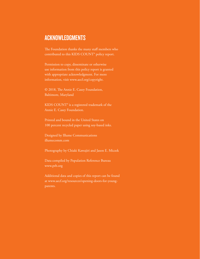# ACKNOWLEDGMENTS

The Foundation thanks the many staff members who contributed to this KIDS COUNT® policy report.

Permission to copy, disseminate or otherwise use information from this policy report is granted with appropriate acknowledgment. For more information, visit [www.aecf.org/copyright.](https://www.aecf.org/copyright/?utm_source=policy+report&utm_medium=pdf&utm_campaign=opening+doors&utm_content=closing&utm_term=aecf.org)

© 2018, The Annie E. Casey Foundation, Baltimore, Maryland

KIDS COUNT® is a registered trademark of the Annie E. Casey Foundation.

Printed and bound in the United States on 100 percent recycled paper using soy-based inks.

Designed by Illume Communications [illumecomm.com](http://illumecomm.com) 

Photography by Chiaki Kawajiri and Jason E. Miczek

Data compiled by Population Reference Bureau [www.prb.org](https://www.prb.org/)

Additional data and copies of this report can be found at [www.aecf.org/resources/opening-doors-for-young](https://www.aecf.org/resources/opening-doors-for-young-parents/?utm_source=policy+report&utm_medium=pdf&utm_campaign=opening+doors&utm_content=closing&utm_term=aecf.org)[parents.](https://www.aecf.org/resources/opening-doors-for-young-parents/?utm_source=policy+report&utm_medium=pdf&utm_campaign=opening+doors&utm_content=closing&utm_term=aecf.org)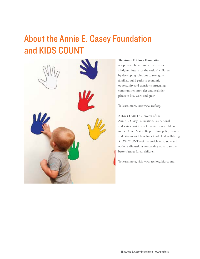# About the Annie E. Casey Foundation and KIDS COUNT



#### **The Annie E. Casey Foundation**

is a private philanthropy that creates a brighter future for the nation's children by developing solutions to strengthen families, build paths to economic opportunity and transform struggling communities into safer and healthier places to live, work and grow.

To learn more, visit [www.aecf.org](https://www.aecf.org/?utm_source=policy+report&utm_medium=pdf&utm_campaign=opening+doors&utm_content=about&utm_term=aecf.org).

**KIDS COUNT®**, a project of the Annie E. Casey Foundation, is a national and state effort to track the status of children in the United States. By providing policymakers and citizens with benchmarks of child well-being, KIDS COUNT seeks to enrich local, state and national discussions concerning ways to secure better futures for all children.

To learn more, visit [www.aecf.org/kidscount.](https://www.aecf.org/work/kids-count/?utm_source=policy+report&utm_medium=pdf&utm_campaign=opening+doors&utm_content=about&utm_term=aecf.org)